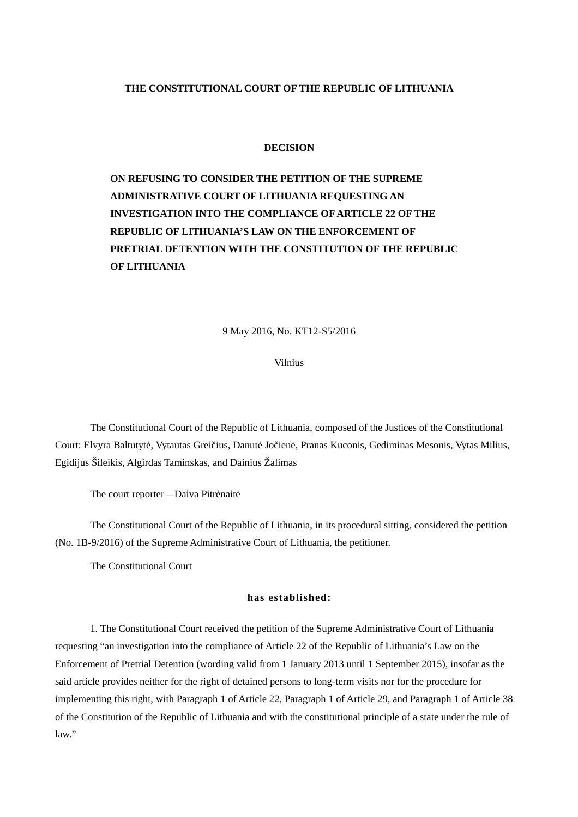# **THE CONSTITUTIONAL COURT OF THE REPUBLIC OF LITHUANIA**

## **DECISION**

**ON REFUSING TO CONSIDER THE PETITION OF THE SUPREME ADMINISTRATIVE COURT OF LITHUANIA REQUESTING AN INVESTIGATION INTO THE COMPLIANCE OF ARTICLE 22 OF THE REPUBLIC OF LITHUANIA'S LAW ON THE ENFORCEMENT OF PRETRIAL DETENTION WITH THE CONSTITUTION OF THE REPUBLIC OF LITHUANIA**

#### 9 May 2016, No. KT12-S5/2016

Vilnius

The Constitutional Court of the Republic of Lithuania, composed of the Justices of the Constitutional Court: Elvyra Baltutytė, Vytautas Greičius, Danutė Jočienė, Pranas Kuconis, Gediminas Mesonis, Vytas Milius, Egidijus Šileikis, Algirdas Taminskas, and Dainius Žalimas

The court reporter—Daiva Pitrėnaitė

The Constitutional Court of the Republic of Lithuania, in its procedural sitting, considered the petition (No. 1B-9/2016) of the Supreme Administrative Court of Lithuania, the petitioner.

The Constitutional Court

## **has established:**

1. The Constitutional Court received the petition of the Supreme Administrative Court of Lithuania requesting "an investigation into the compliance of Article 22 of the Republic of Lithuania's Law on the Enforcement of Pretrial Detention (wording valid from 1 January 2013 until 1 September 2015), insofar as the said article provides neither for the right of detained persons to long-term visits nor for the procedure for implementing this right, with Paragraph 1 of Article 22, Paragraph 1 of Article 29, and Paragraph 1 of Article 38 of the Constitution of the Republic of Lithuania and with the constitutional principle of a state under the rule of law."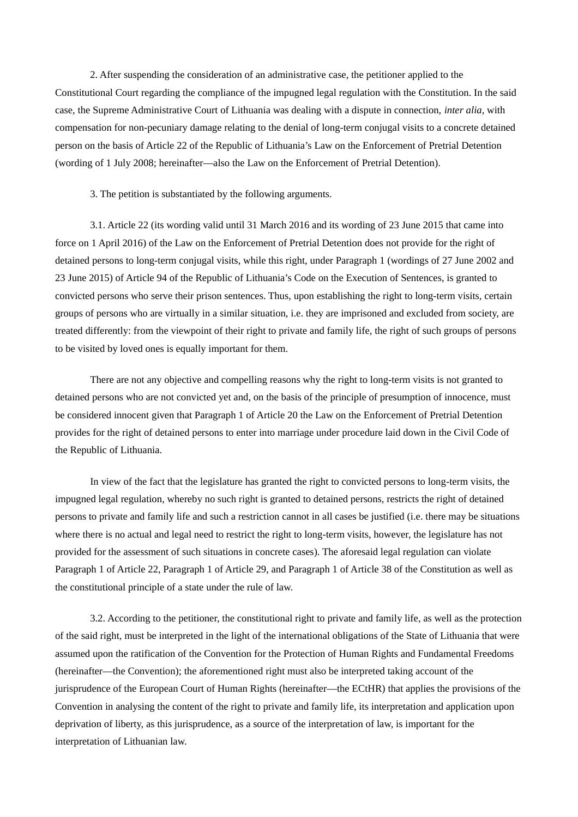2. After suspending the consideration of an administrative case, the petitioner applied to the Constitutional Court regarding the compliance of the impugned legal regulation with the Constitution. In the said case, the Supreme Administrative Court of Lithuania was dealing with a dispute in connection, *inter alia,* with compensation for non-pecuniary damage relating to the denial of long-term conjugal visits to a concrete detained person on the basis of Article 22 of the Republic of Lithuania's Law on the Enforcement of Pretrial Detention (wording of 1 July 2008; hereinafter—also the Law on the Enforcement of Pretrial Detention).

3. The petition is substantiated by the following arguments.

3.1. Article 22 (its wording valid until 31 March 2016 and its wording of 23 June 2015 that came into force on 1 April 2016) of the Law on the Enforcement of Pretrial Detention does not provide for the right of detained persons to long-term conjugal visits, while this right, under Paragraph 1 (wordings of 27 June 2002 and 23 June 2015) of Article 94 of the Republic of Lithuania's Code on the Execution of Sentences, is granted to convicted persons who serve their prison sentences. Thus, upon establishing the right to long-term visits, certain groups of persons who are virtually in a similar situation, i.e. they are imprisoned and excluded from society, are treated differently: from the viewpoint of their right to private and family life, the right of such groups of persons to be visited by loved ones is equally important for them.

There are not any objective and compelling reasons why the right to long-term visits is not granted to detained persons who are not convicted yet and, on the basis of the principle of presumption of innocence, must be considered innocent given that Paragraph 1 of Article 20 the Law on the Enforcement of Pretrial Detention provides for the right of detained persons to enter into marriage under procedure laid down in the Civil Code of the Republic of Lithuania.

In view of the fact that the legislature has granted the right to convicted persons to long-term visits, the impugned legal regulation, whereby no such right is granted to detained persons, restricts the right of detained persons to private and family life and such a restriction cannot in all cases be justified (i.e. there may be situations where there is no actual and legal need to restrict the right to long-term visits, however, the legislature has not provided for the assessment of such situations in concrete cases). The aforesaid legal regulation can violate Paragraph 1 of Article 22, Paragraph 1 of Article 29, and Paragraph 1 of Article 38 of the Constitution as well as the constitutional principle of a state under the rule of law.

3.2. According to the petitioner, the constitutional right to private and family life, as well as the protection of the said right, must be interpreted in the light of the international obligations of the State of Lithuania that were assumed upon the ratification of the Convention for the Protection of Human Rights and Fundamental Freedoms (hereinafter—the Convention); the aforementioned right must also be interpreted taking account of the jurisprudence of the European Court of Human Rights (hereinafter—the ECtHR) that applies the provisions of the Convention in analysing the content of the right to private and family life, its interpretation and application upon deprivation of liberty, as this jurisprudence, as a source of the interpretation of law, is important for the interpretation of Lithuanian law.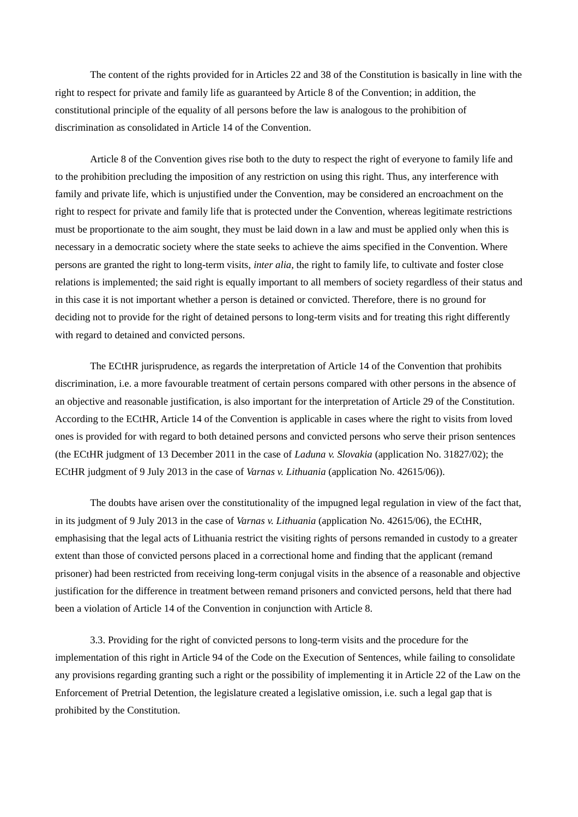The content of the rights provided for in Articles 22 and 38 of the Constitution is basically in line with the right to respect for private and family life as guaranteed by Article 8 of the Convention; in addition, the constitutional principle of the equality of all persons before the law is analogous to the prohibition of discrimination as consolidated in Article 14 of the Convention.

Article 8 of the Convention gives rise both to the duty to respect the right of everyone to family life and to the prohibition precluding the imposition of any restriction on using this right. Thus, any interference with family and private life, which is unjustified under the Convention, may be considered an encroachment on the right to respect for private and family life that is protected under the Convention, whereas legitimate restrictions must be proportionate to the aim sought, they must be laid down in a law and must be applied only when this is necessary in a democratic society where the state seeks to achieve the aims specified in the Convention. Where persons are granted the right to long-term visits, *inter alia,* the right to family life, to cultivate and foster close relations is implemented; the said right is equally important to all members of society regardless of their status and in this case it is not important whether a person is detained or convicted. Therefore, there is no ground for deciding not to provide for the right of detained persons to long-term visits and for treating this right differently with regard to detained and convicted persons.

The ECtHR jurisprudence, as regards the interpretation of Article 14 of the Convention that prohibits discrimination, i.e. a more favourable treatment of certain persons compared with other persons in the absence of an objective and reasonable justification, is also important for the interpretation of Article 29 of the Constitution. According to the ECtHR, Article 14 of the Convention is applicable in cases where the right to visits from loved ones is provided for with regard to both detained persons and convicted persons who serve their prison sentences (the ECtHR judgment of 13 December 2011 in the case of *Laduna v. Slovakia* (application No. 31827/02); the ECtHR judgment of 9 July 2013 in the case of *Varnas v. Lithuania* (application No. 42615/06)).

The doubts have arisen over the constitutionality of the impugned legal regulation in view of the fact that, in its judgment of 9 July 2013 in the case of *Varnas v. Lithuania* (application No. 42615/06), the ECtHR, emphasising that the legal acts of Lithuania restrict the visiting rights of persons remanded in custody to a greater extent than those of convicted persons placed in a correctional home and finding that the applicant (remand prisoner) had been restricted from receiving long-term conjugal visits in the absence of a reasonable and objective justification for the difference in treatment between remand prisoners and convicted persons, held that there had been a violation of Article 14 of the Convention in conjunction with Article 8.

3.3. Providing for the right of convicted persons to long-term visits and the procedure for the implementation of this right in Article 94 of the Code on the Execution of Sentences, while failing to consolidate any provisions regarding granting such a right or the possibility of implementing it in Article 22 of the Law on the Enforcement of Pretrial Detention, the legislature created a legislative omission, i.e. such a legal gap that is prohibited by the Constitution.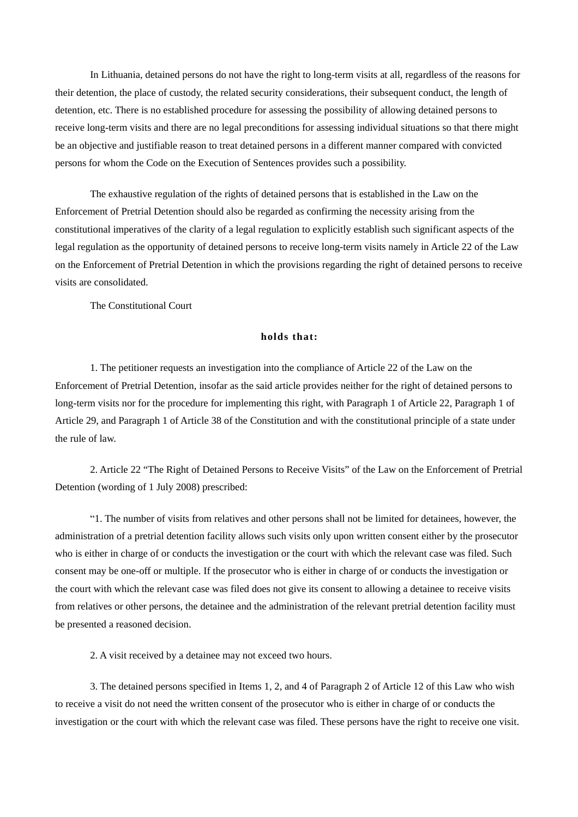In Lithuania, detained persons do not have the right to long-term visits at all, regardless of the reasons for their detention, the place of custody, the related security considerations, their subsequent conduct, the length of detention, etc. There is no established procedure for assessing the possibility of allowing detained persons to receive long-term visits and there are no legal preconditions for assessing individual situations so that there might be an objective and justifiable reason to treat detained persons in a different manner compared with convicted persons for whom the Code on the Execution of Sentences provides such a possibility.

The exhaustive regulation of the rights of detained persons that is established in the Law on the Enforcement of Pretrial Detention should also be regarded as confirming the necessity arising from the constitutional imperatives of the clarity of a legal regulation to explicitly establish such significant aspects of the legal regulation as the opportunity of detained persons to receive long-term visits namely in Article 22 of the Law on the Enforcement of Pretrial Detention in which the provisions regarding the right of detained persons to receive visits are consolidated.

The Constitutional Court

## **holds that:**

1. The petitioner requests an investigation into the compliance of Article 22 of the Law on the Enforcement of Pretrial Detention, insofar as the said article provides neither for the right of detained persons to long-term visits nor for the procedure for implementing this right, with Paragraph 1 of Article 22, Paragraph 1 of Article 29, and Paragraph 1 of Article 38 of the Constitution and with the constitutional principle of a state under the rule of law.

2. Article 22 "The Right of Detained Persons to Receive Visits" of the Law on the Enforcement of Pretrial Detention (wording of 1 July 2008) prescribed:

"1. The number of visits from relatives and other persons shall not be limited for detainees, however, the administration of a pretrial detention facility allows such visits only upon written consent either by the prosecutor who is either in charge of or conducts the investigation or the court with which the relevant case was filed. Such consent may be one-off or multiple. If the prosecutor who is either in charge of or conducts the investigation or the court with which the relevant case was filed does not give its consent to allowing a detainee to receive visits from relatives or other persons, the detainee and the administration of the relevant pretrial detention facility must be presented a reasoned decision.

2. A visit received by a detainee may not exceed two hours.

3. The detained persons specified in Items 1, 2, and 4 of Paragraph 2 of Article 12 of this Law who wish to receive a visit do not need the written consent of the prosecutor who is either in charge of or conducts the investigation or the court with which the relevant case was filed. These persons have the right to receive one visit.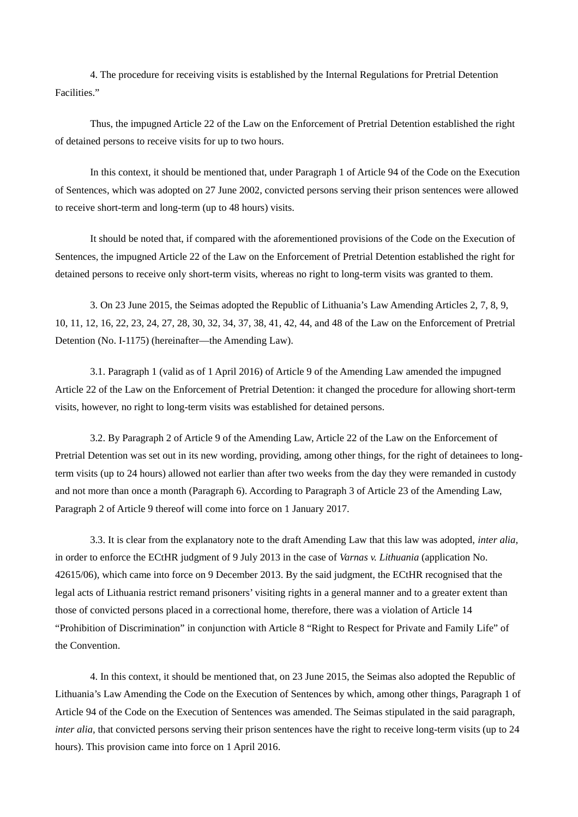4. The procedure for receiving visits is established by the Internal Regulations for Pretrial Detention Facilities."

Thus, the impugned Article 22 of the Law on the Enforcement of Pretrial Detention established the right of detained persons to receive visits for up to two hours.

In this context, it should be mentioned that, under Paragraph 1 of Article 94 of the Code on the Execution of Sentences, which was adopted on 27 June 2002, convicted persons serving their prison sentences were allowed to receive short-term and long-term (up to 48 hours) visits.

It should be noted that, if compared with the aforementioned provisions of the Code on the Execution of Sentences, the impugned Article 22 of the Law on the Enforcement of Pretrial Detention established the right for detained persons to receive only short-term visits, whereas no right to long-term visits was granted to them.

3. On 23 June 2015, the Seimas adopted the Republic of Lithuania's Law Amending Articles 2, 7, 8, 9, 10, 11, 12, 16, 22, 23, 24, 27, 28, 30, 32, 34, 37, 38, 41, 42, 44, and 48 of the Law on the Enforcement of Pretrial Detention (No. I-1175) (hereinafter—the Amending Law).

3.1. Paragraph 1 (valid as of 1 April 2016) of Article 9 of the Amending Law amended the impugned Article 22 of the Law on the Enforcement of Pretrial Detention: it changed the procedure for allowing short-term visits, however, no right to long-term visits was established for detained persons.

3.2. By Paragraph 2 of Article 9 of the Amending Law, Article 22 of the Law on the Enforcement of Pretrial Detention was set out in its new wording, providing, among other things, for the right of detainees to longterm visits (up to 24 hours) allowed not earlier than after two weeks from the day they were remanded in custody and not more than once a month (Paragraph 6). According to Paragraph 3 of Article 23 of the Amending Law, Paragraph 2 of Article 9 thereof will come into force on 1 January 2017.

3.3. It is clear from the explanatory note to the draft Amending Law that this law was adopted, *inter alia,* in order to enforce the ECtHR judgment of 9 July 2013 in the case of *Varnas v. Lithuania* (application No. 42615/06), which came into force on 9 December 2013. By the said judgment, the ECtHR recognised that the legal acts of Lithuania restrict remand prisoners' visiting rights in a general manner and to a greater extent than those of convicted persons placed in a correctional home, therefore, there was a violation of Article 14 "Prohibition of Discrimination" in conjunction with Article 8 "Right to Respect for Private and Family Life" of the Convention.

4. In this context, it should be mentioned that, on 23 June 2015, the Seimas also adopted the Republic of Lithuania's Law Amending the Code on the Execution of Sentences by which, among other things, Paragraph 1 of Article 94 of the Code on the Execution of Sentences was amended. The Seimas stipulated in the said paragraph, *inter alia,* that convicted persons serving their prison sentences have the right to receive long-term visits (up to 24 hours). This provision came into force on 1 April 2016.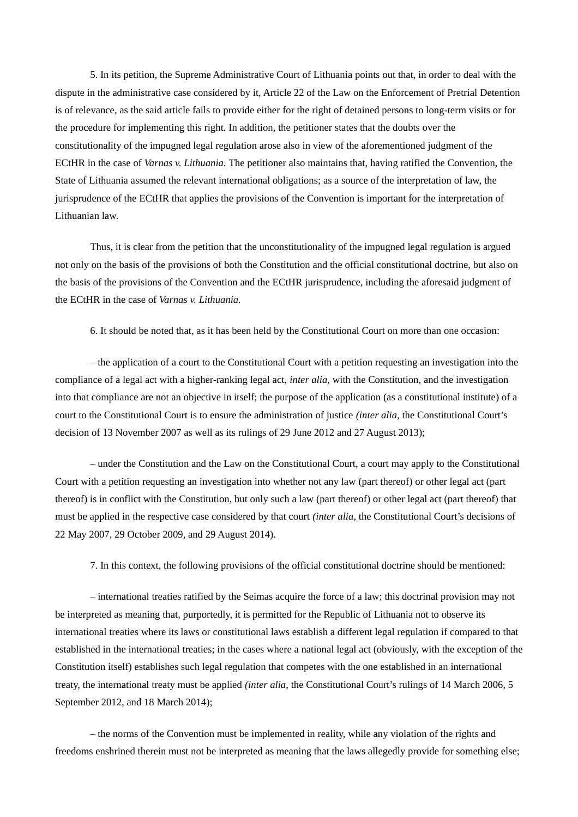5. In its petition, the Supreme Administrative Court of Lithuania points out that, in order to deal with the dispute in the administrative case considered by it, Article 22 of the Law on the Enforcement of Pretrial Detention is of relevance, as the said article fails to provide either for the right of detained persons to long-term visits or for the procedure for implementing this right. In addition, the petitioner states that the doubts over the constitutionality of the impugned legal regulation arose also in view of the aforementioned judgment of the ECtHR in the case of *Varnas v. Lithuania.* The petitioner also maintains that, having ratified the Convention, the State of Lithuania assumed the relevant international obligations; as a source of the interpretation of law, the jurisprudence of the ECtHR that applies the provisions of the Convention is important for the interpretation of Lithuanian law.

Thus, it is clear from the petition that the unconstitutionality of the impugned legal regulation is argued not only on the basis of the provisions of both the Constitution and the official constitutional doctrine, but also on the basis of the provisions of the Convention and the ECtHR jurisprudence, including the aforesaid judgment of the ECtHR in the case of *Varnas v. Lithuania.*

6. It should be noted that, as it has been held by the Constitutional Court on more than one occasion:

– the application of a court to the Constitutional Court with a petition requesting an investigation into the compliance of a legal act with a higher-ranking legal act, *inter alia,* with the Constitution, and the investigation into that compliance are not an objective in itself; the purpose of the application (as a constitutional institute) of a court to the Constitutional Court is to ensure the administration of justice *(inter alia,* the Constitutional Court's decision of 13 November 2007 as well as its rulings of 29 June 2012 and 27 August 2013);

– under the Constitution and the Law on the Constitutional Court, a court may apply to the Constitutional Court with a petition requesting an investigation into whether not any law (part thereof) or other legal act (part thereof) is in conflict with the Constitution, but only such a law (part thereof) or other legal act (part thereof) that must be applied in the respective case considered by that court *(inter alia,* the Constitutional Court's decisions of 22 May 2007, 29 October 2009, and 29 August 2014).

7. In this context, the following provisions of the official constitutional doctrine should be mentioned:

– international treaties ratified by the Seimas acquire the force of a law; this doctrinal provision may not be interpreted as meaning that, purportedly, it is permitted for the Republic of Lithuania not to observe its international treaties where its laws or constitutional laws establish a different legal regulation if compared to that established in the international treaties; in the cases where a national legal act (obviously, with the exception of the Constitution itself) establishes such legal regulation that competes with the one established in an international treaty, the international treaty must be applied *(inter alia,* the Constitutional Court's rulings of 14 March 2006, 5 September 2012, and 18 March 2014);

– the norms of the Convention must be implemented in reality, while any violation of the rights and freedoms enshrined therein must not be interpreted as meaning that the laws allegedly provide for something else;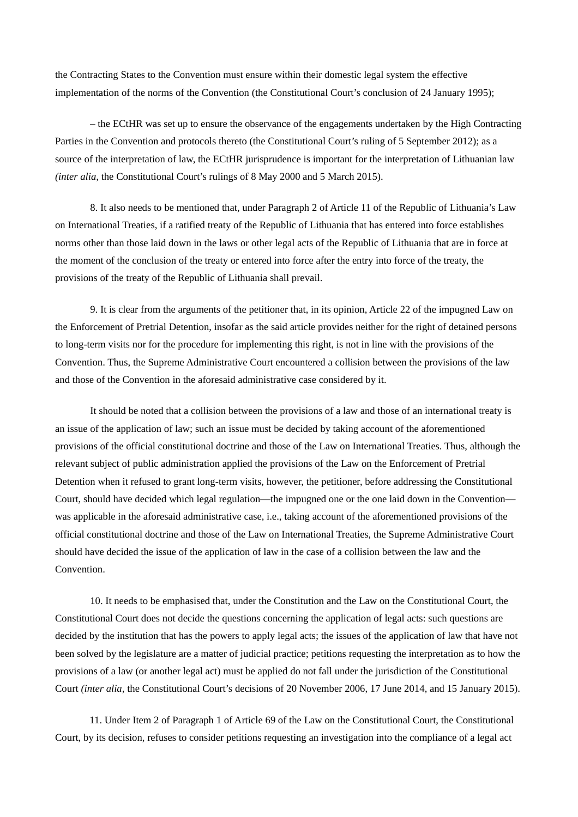the Contracting States to the Convention must ensure within their domestic legal system the effective implementation of the norms of the Convention (the Constitutional Court's conclusion of 24 January 1995);

– the ECtHR was set up to ensure the observance of the engagements undertaken by the High Contracting Parties in the Convention and protocols thereto (the Constitutional Court's ruling of 5 September 2012); as a source of the interpretation of law, the ECtHR jurisprudence is important for the interpretation of Lithuanian law *(inter alia,* the Constitutional Court's rulings of 8 May 2000 and 5 March 2015).

8. It also needs to be mentioned that, under Paragraph 2 of Article 11 of the Republic of Lithuania's Law on International Treaties, if a ratified treaty of the Republic of Lithuania that has entered into force establishes norms other than those laid down in the laws or other legal acts of the Republic of Lithuania that are in force at the moment of the conclusion of the treaty or entered into force after the entry into force of the treaty, the provisions of the treaty of the Republic of Lithuania shall prevail.

9. It is clear from the arguments of the petitioner that, in its opinion, Article 22 of the impugned Law on the Enforcement of Pretrial Detention, insofar as the said article provides neither for the right of detained persons to long-term visits nor for the procedure for implementing this right, is not in line with the provisions of the Convention. Thus, the Supreme Administrative Court encountered a collision between the provisions of the law and those of the Convention in the aforesaid administrative case considered by it.

It should be noted that a collision between the provisions of a law and those of an international treaty is an issue of the application of law; such an issue must be decided by taking account of the aforementioned provisions of the official constitutional doctrine and those of the Law on International Treaties. Thus, although the relevant subject of public administration applied the provisions of the Law on the Enforcement of Pretrial Detention when it refused to grant long-term visits, however, the petitioner, before addressing the Constitutional Court, should have decided which legal regulation—the impugned one or the one laid down in the Convention was applicable in the aforesaid administrative case, i.e., taking account of the aforementioned provisions of the official constitutional doctrine and those of the Law on International Treaties, the Supreme Administrative Court should have decided the issue of the application of law in the case of a collision between the law and the Convention.

10. It needs to be emphasised that, under the Constitution and the Law on the Constitutional Court, the Constitutional Court does not decide the questions concerning the application of legal acts: such questions are decided by the institution that has the powers to apply legal acts; the issues of the application of law that have not been solved by the legislature are a matter of judicial practice; petitions requesting the interpretation as to how the provisions of a law (or another legal act) must be applied do not fall under the jurisdiction of the Constitutional Court *(inter alia,* the Constitutional Court's decisions of 20 November 2006, 17 June 2014, and 15 January 2015).

11. Under Item 2 of Paragraph 1 of Article 69 of the Law on the Constitutional Court, the Constitutional Court, by its decision, refuses to consider petitions requesting an investigation into the compliance of a legal act